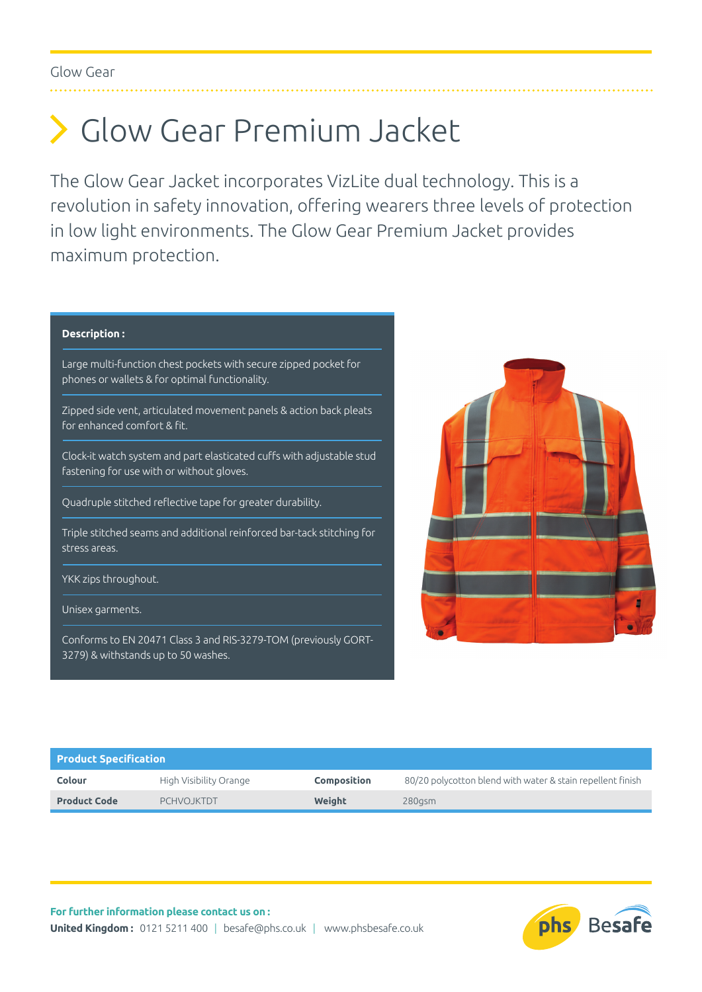Glow Gear

# Glow Gear Premium Jacket

The Glow Gear Jacket incorporates VizLite dual technology. This is a revolution in safety innovation, offering wearers three levels of protection in low light environments. The Glow Gear Premium Jacket provides maximum protection.

## **Description :**

Large multi-function chest pockets with secure zipped pocket for phones or wallets & for optimal functionality.

Zipped side vent, articulated movement panels & action back pleats for enhanced comfort & fit.

Clock-it watch system and part elasticated cuffs with adjustable stud fastening for use with or without gloves.

Quadruple stitched reflective tape for greater durability.

Triple stitched seams and additional reinforced bar-tack stitching for stress areas.

YKK zips throughout.

Unisex garments.

Conforms to EN 20471 Class 3 and RIS-3279-TOM (previously GORT-3279) & withstands up to 50 washes.



| <b>Product Specification</b> |                        |                    |                                                            |  |  |  |  |  |
|------------------------------|------------------------|--------------------|------------------------------------------------------------|--|--|--|--|--|
| Colour                       | High Visibility Orange | <b>Composition</b> | 80/20 polycotton blend with water & stain repellent finish |  |  |  |  |  |
| <b>Product Code</b>          | PCHVO.JKTDT            | Weight             | $280$ asm                                                  |  |  |  |  |  |